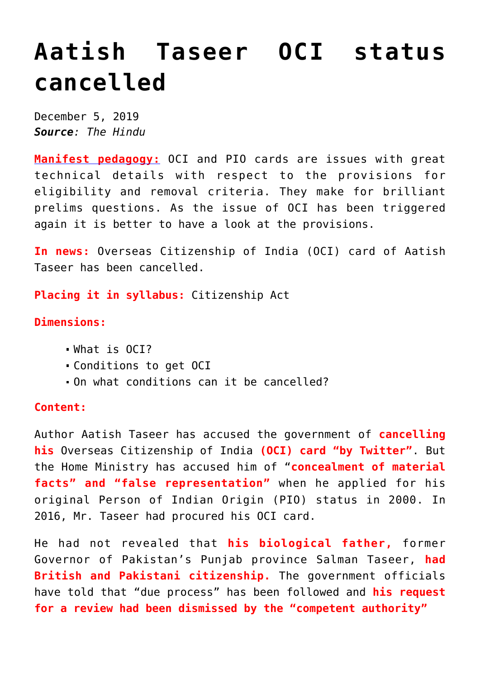# **[Aatish Taseer OCI status](https://journalsofindia.com/aatish-taseer-oci-status-cancelled/) [cancelled](https://journalsofindia.com/aatish-taseer-oci-status-cancelled/)**

December 5, 2019 *Source: The Hindu*

**[Manifest pedagogy:](https://www.manifestias.com/2018/11/05/manifest-pedagogy-looking-beyond-the-issue/)** OCI and PIO cards are issues with great technical details with respect to the provisions for eligibility and removal criteria. They make for brilliant prelims questions. As the issue of OCI has been triggered again it is better to have a look at the provisions.

**In news:** Overseas Citizenship of India (OCI) card of Aatish Taseer has been cancelled.

**Placing it in syllabus:** Citizenship Act

## **Dimensions:**

- What is OCI?
- Conditions to get OCI
- On what conditions can it be cancelled?

## **Content:**

Author Aatish Taseer has accused the government of **cancelling his** Overseas Citizenship of India **(OCI) card "by Twitter"**. But the Home Ministry has accused him of "**concealment of material facts" and "false representation"** when he applied for his original Person of Indian Origin (PIO) status in 2000. In 2016, Mr. Taseer had procured his OCI card.

He had not revealed that **his biological father,** former Governor of Pakistan's Punjab province Salman Taseer, **had British and Pakistani citizenship.** The government officials have told that "due process" has been followed and **his request for a review had been dismissed by the "competent authority"**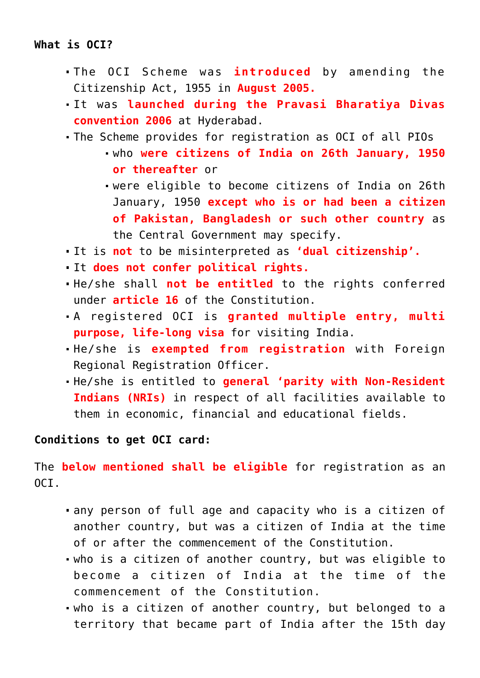## **What is OCI?**

- The OCI Scheme was **introduced** by amending the Citizenship Act, 1955 in **August 2005.**
- It was **launched during the Pravasi Bharatiya Divas convention 2006** at Hyderabad.
- The Scheme provides for registration as OCI of all PIOs
	- who **were citizens of India on 26th January, 1950 or thereafter** or
	- were eligible to become citizens of India on 26th January, 1950 **except who is or had been a citizen of Pakistan, Bangladesh or such other country** as the Central Government may specify.
- It is **not** to be misinterpreted as **'dual citizenship'.**
- It **does not confer political rights.**
- He/she shall **not be entitled** to the rights conferred under **article 16** of the Constitution.
- A registered OCI is **granted multiple entry, multi purpose, life-long visa** for visiting India.
- He/she is **exempted from registration** with Foreign Regional Registration Officer.
- He/she is entitled to **general 'parity with Non-Resident Indians (NRIs)** in respect of all facilities available to them in economic, financial and educational fields.

## **Conditions to get OCI card:**

The **below mentioned shall be eligible** for registration as an  $OCT$ .

- any person of full age and capacity who is a citizen of another country, but was a citizen of India at the time of or after the commencement of the Constitution.
- who is a citizen of another country, but was eligible to become a citizen of India at the time of the commencement of the Constitution.
- who is a citizen of another country, but belonged to a territory that became part of India after the 15th day